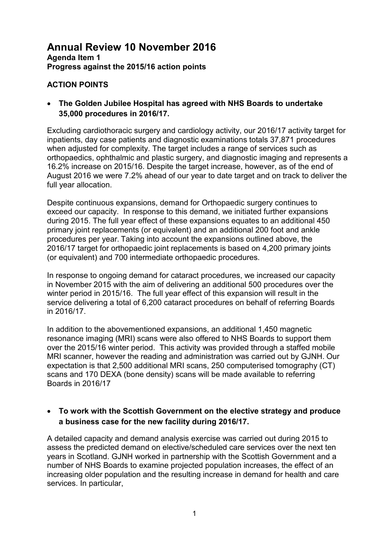### **ACTION POINTS**

• **The Golden Jubilee Hospital has agreed with NHS Boards to undertake 35,000 procedures in 2016/17.** 

Excluding cardiothoracic surgery and cardiology activity, our 2016/17 activity target for inpatients, day case patients and diagnostic examinations totals 37,871 procedures when adjusted for complexity. The target includes a range of services such as orthopaedics, ophthalmic and plastic surgery, and diagnostic imaging and represents a 16.2% increase on 2015/16. Despite the target increase, however, as of the end of August 2016 we were 7.2% ahead of our year to date target and on track to deliver the full year allocation.

Despite continuous expansions, demand for Orthopaedic surgery continues to exceed our capacity. In response to this demand, we initiated further expansions during 2015. The full year effect of these expansions equates to an additional 450 primary joint replacements (or equivalent) and an additional 200 foot and ankle procedures per year. Taking into account the expansions outlined above, the 2016/17 target for orthopaedic joint replacements is based on 4,200 primary joints (or equivalent) and 700 intermediate orthopaedic procedures.

In response to ongoing demand for cataract procedures, we increased our capacity in November 2015 with the aim of delivering an additional 500 procedures over the winter period in 2015/16. The full year effect of this expansion will result in the service delivering a total of 6,200 cataract procedures on behalf of referring Boards in 2016/17.

In addition to the abovementioned expansions, an additional 1,450 magnetic resonance imaging (MRI) scans were also offered to NHS Boards to support them over the 2015/16 winter period. This activity was provided through a staffed mobile MRI scanner, however the reading and administration was carried out by GJNH. Our expectation is that 2,500 additional MRI scans, 250 computerised tomography (CT) scans and 170 DEXA (bone density) scans will be made available to referring Boards in 2016/17

#### • **To work with the Scottish Government on the elective strategy and produce a business case for the new facility during 2016/17.**

A detailed capacity and demand analysis exercise was carried out during 2015 to assess the predicted demand on elective/scheduled care services over the next ten years in Scotland. GJNH worked in partnership with the Scottish Government and a number of NHS Boards to examine projected population increases, the effect of an increasing older population and the resulting increase in demand for health and care services. In particular,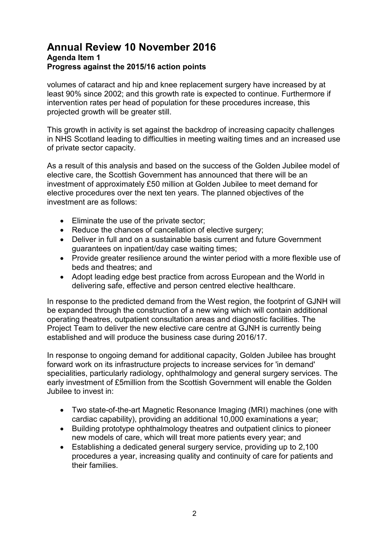volumes of cataract and hip and knee replacement surgery have increased by at least 90% since 2002; and this growth rate is expected to continue. Furthermore if intervention rates per head of population for these procedures increase, this projected growth will be greater still.

This growth in activity is set against the backdrop of increasing capacity challenges in NHS Scotland leading to difficulties in meeting waiting times and an increased use of private sector capacity.

As a result of this analysis and based on the success of the Golden Jubilee model of elective care, the Scottish Government has announced that there will be an investment of approximately £50 million at Golden Jubilee to meet demand for elective procedures over the next ten years. The planned objectives of the investment are as follows:

- Eliminate the use of the private sector;
- Reduce the chances of cancellation of elective surgery;
- Deliver in full and on a sustainable basis current and future Government guarantees on inpatient/day case waiting times;
- Provide greater resilience around the winter period with a more flexible use of beds and theatres; and
- Adopt leading edge best practice from across European and the World in delivering safe, effective and person centred elective healthcare.

In response to the predicted demand from the West region, the footprint of GJNH will be expanded through the construction of a new wing which will contain additional operating theatres, outpatient consultation areas and diagnostic facilities. The Project Team to deliver the new elective care centre at GJNH is currently being established and will produce the business case during 2016/17.

In response to ongoing demand for additional capacity, Golden Jubilee has brought forward work on its infrastructure projects to increase services for 'in demand' specialities, particularly radiology, ophthalmology and general surgery services. The early investment of £5million from the Scottish Government will enable the Golden Jubilee to invest in:

- Two state-of-the-art Magnetic Resonance Imaging (MRI) machines (one with cardiac capability), providing an additional 10,000 examinations a year;
- Building prototype ophthalmology theatres and outpatient clinics to pioneer new models of care, which will treat more patients every year; and
- Establishing a dedicated general surgery service, providing up to 2,100 procedures a year, increasing quality and continuity of care for patients and their families.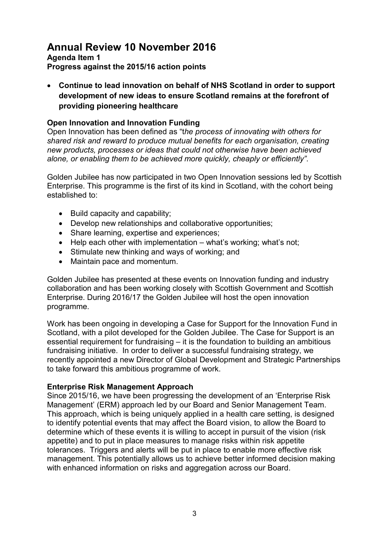# **Annual Review 10 November 2016**

#### **Agenda Item 1 Progress against the 2015/16 action points**

• **Continue to lead innovation on behalf of NHS Scotland in order to support development of new ideas to ensure Scotland remains at the forefront of providing pioneering healthcare** 

#### **Open Innovation and Innovation Funding**

Open Innovation has been defined as "t*he process of innovating with others for shared risk and reward to produce mutual benefits for each organisation, creating new products, processes or ideas that could not otherwise have been achieved alone, or enabling them to be achieved more quickly, cheaply or efficiently"*.

Golden Jubilee has now participated in two Open Innovation sessions led by Scottish Enterprise. This programme is the first of its kind in Scotland, with the cohort being established to:

- Build capacity and capability;
- Develop new relationships and collaborative opportunities;
- Share learning, expertise and experiences;
- Help each other with implementation what's working: what's not:
- Stimulate new thinking and ways of working; and
- Maintain pace and momentum.

Golden Jubilee has presented at these events on Innovation funding and industry collaboration and has been working closely with Scottish Government and Scottish Enterprise. During 2016/17 the Golden Jubilee will host the open innovation programme.

Work has been ongoing in developing a Case for Support for the Innovation Fund in Scotland, with a pilot developed for the Golden Jubilee. The Case for Support is an essential requirement for fundraising – it is the foundation to building an ambitious fundraising initiative. In order to deliver a successful fundraising strategy, we recently appointed a new Director of Global Development and Strategic Partnerships to take forward this ambitious programme of work.

#### **Enterprise Risk Management Approach**

Since 2015/16, we have been progressing the development of an 'Enterprise Risk Management' (ERM) approach led by our Board and Senior Management Team. This approach, which is being uniquely applied in a health care setting, is designed to identify potential events that may affect the Board vision, to allow the Board to determine which of these events it is willing to accept in pursuit of the vision (risk appetite) and to put in place measures to manage risks within risk appetite tolerances. Triggers and alerts will be put in place to enable more effective risk management. This potentially allows us to achieve better informed decision making with enhanced information on risks and aggregation across our Board.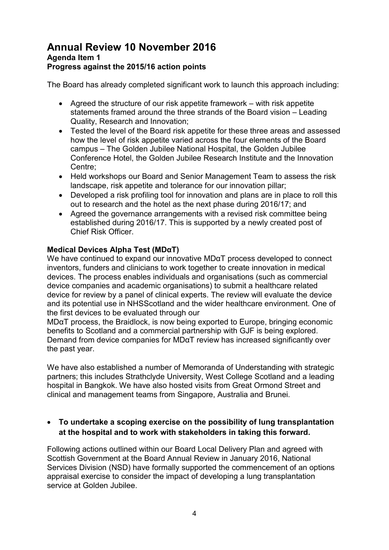The Board has already completed significant work to launch this approach including:

- Agreed the structure of our risk appetite framework with risk appetite statements framed around the three strands of the Board vision – Leading Quality, Research and Innovation;
- Tested the level of the Board risk appetite for these three areas and assessed how the level of risk appetite varied across the four elements of the Board campus – The Golden Jubilee National Hospital, the Golden Jubilee Conference Hotel, the Golden Jubilee Research Institute and the Innovation Centre;
- Held workshops our Board and Senior Management Team to assess the risk landscape, risk appetite and tolerance for our innovation pillar;
- Developed a risk profiling tool for innovation and plans are in place to roll this out to research and the hotel as the next phase during 2016/17; and
- Agreed the governance arrangements with a revised risk committee being established during 2016/17. This is supported by a newly created post of Chief Risk Officer.

### **Medical Devices Alpha Test (MDαT)**

We have continued to expand our innovative MDαT process developed to connect inventors, funders and clinicians to work together to create innovation in medical devices. The process enables individuals and organisations (such as commercial device companies and academic organisations) to submit a healthcare related device for review by a panel of clinical experts. The review will evaluate the device and its potential use in NHSScotland and the wider healthcare environment. One of the first devices to be evaluated through our

MDαT process, the Braidlock, is now being exported to Europe, bringing economic benefits to Scotland and a commercial partnership with GJF is being explored. Demand from device companies for MDαT review has increased significantly over the past year.

We have also established a number of Memoranda of Understanding with strategic partners; this includes Strathclyde University, West College Scotland and a leading hospital in Bangkok. We have also hosted visits from Great Ormond Street and clinical and management teams from Singapore, Australia and Brunei.

### • **To undertake a scoping exercise on the possibility of lung transplantation at the hospital and to work with stakeholders in taking this forward.**

Following actions outlined within our Board Local Delivery Plan and agreed with Scottish Government at the Board Annual Review in January 2016, National Services Division (NSD) have formally supported the commencement of an options appraisal exercise to consider the impact of developing a lung transplantation service at Golden Jubilee.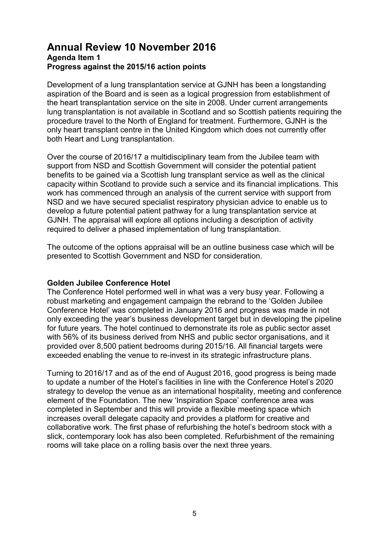Development of a lung transplantation service at GJNH has been a longstanding aspiration of the Board and is seen as a logical progression from establishment of the heart transplantation service on the site in 2008. Under current arrangements lung transplantation is not available in Scotland and so Scottish patients requiring the procedure travel to the North of England for treatment. Furthermore, GJNH is the only heart transplant centre in the United Kingdom which does not currently offer both Heart and Lung transplantation.

Over the course of 2016/17 a multidisciplinary team from the Jubilee team with support from NSD and Scottish Government will consider the potential patient benefits to be gained via a Scottish lung transplant service as well as the clinical capacity within Scotland to provide such a service and its financial implications. This work has commenced through an analysis of the current service with support from NSD and we have secured specialist respiratory physician advice to enable us to develop a future potential patient pathway for a lung transplantation service at GJNH. The appraisal will explore all options including a description of activity required to deliver a phased implementation of lung transplantation.

The outcome of the options appraisal will be an outline business case which will be presented to Scottish Government and NSD for consideration.

#### **Golden Jubilee Conference Hotel**

The Conference Hotel performed well in what was a very busy year. Following a robust marketing and engagement campaign the rebrand to the 'Golden Jubilee Conference Hotel' was completed in January 2016 and progress was made in not only exceeding the year's business development target but in developing the pipeline for future years. The hotel continued to demonstrate its role as public sector asset with 56% of its business derived from NHS and public sector organisations, and it provided over 8,500 patient bedrooms during 2015/16. All financial targets were exceeded enabling the venue to re-invest in its strategic infrastructure plans.

Turning to 2016/17 and as of the end of August 2016, good progress is being made to update a number of the Hotel's facilities in line with the Conference Hotel's 2020 strategy to develop the venue as an international hospitality, meeting and conference element of the Foundation. The new 'Inspiration Space' conference area was completed in September and this will provide a flexible meeting space which increases overall delegate capacity and provides a platform for creative and collaborative work. The first phase of refurbishing the hotel's bedroom stock with a slick, contemporary look has also been completed. Refurbishment of the remaining rooms will take place on a rolling basis over the next three years.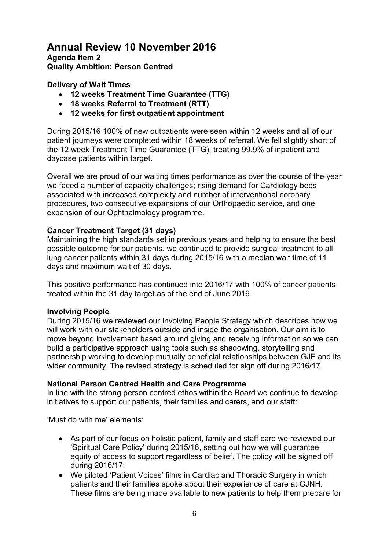# **Annual Review 10 November 2016 Agenda Item 2**

**Quality Ambition: Person Centred** 

### **Delivery of Wait Times**

- **12 weeks Treatment Time Guarantee (TTG)**
- **18 weeks Referral to Treatment (RTT)**
- **12 weeks for first outpatient appointment**

During 2015/16 100% of new outpatients were seen within 12 weeks and all of our patient journeys were completed within 18 weeks of referral. We fell slightly short of the 12 week Treatment Time Guarantee (TTG), treating 99.9% of inpatient and daycase patients within target.

Overall we are proud of our waiting times performance as over the course of the year we faced a number of capacity challenges; rising demand for Cardiology beds associated with increased complexity and number of interventional coronary procedures, two consecutive expansions of our Orthopaedic service, and one expansion of our Ophthalmology programme.

#### **Cancer Treatment Target (31 days)**

Maintaining the high standards set in previous years and helping to ensure the best possible outcome for our patients, we continued to provide surgical treatment to all lung cancer patients within 31 days during 2015/16 with a median wait time of 11 days and maximum wait of 30 days.

This positive performance has continued into 2016/17 with 100% of cancer patients treated within the 31 day target as of the end of June 2016.

#### **Involving People**

During 2015/16 we reviewed our Involving People Strategy which describes how we will work with our stakeholders outside and inside the organisation. Our aim is to move beyond involvement based around giving and receiving information so we can build a participative approach using tools such as shadowing, storytelling and partnership working to develop mutually beneficial relationships between GJF and its wider community. The revised strategy is scheduled for sign off during 2016/17.

#### **National Person Centred Health and Care Programme**

In line with the strong person centred ethos within the Board we continue to develop initiatives to support our patients, their families and carers, and our staff:

'Must do with me' elements:

- As part of our focus on holistic patient, family and staff care we reviewed our 'Spiritual Care Policy' during 2015/16, setting out how we will guarantee equity of access to support regardless of belief. The policy will be signed off during 2016/17;
- We piloted 'Patient Voices' films in Cardiac and Thoracic Surgery in which patients and their families spoke about their experience of care at GJNH. These films are being made available to new patients to help them prepare for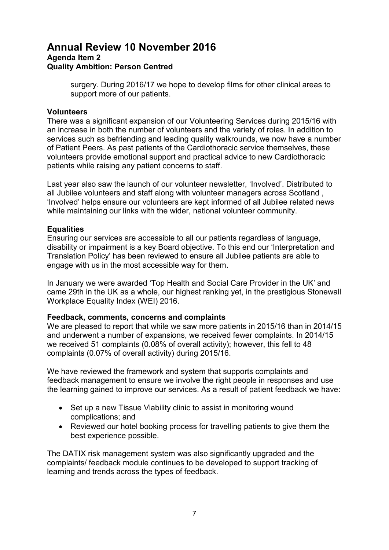# **Annual Review 10 November 2016 Agenda Item 2 Quality Ambition: Person Centred**

surgery. During 2016/17 we hope to develop films for other clinical areas to support more of our patients.

#### **Volunteers**

There was a significant expansion of our Volunteering Services during 2015/16 with an increase in both the number of volunteers and the variety of roles. In addition to services such as befriending and leading quality walkrounds, we now have a number of Patient Peers. As past patients of the Cardiothoracic service themselves, these volunteers provide emotional support and practical advice to new Cardiothoracic patients while raising any patient concerns to staff.

Last year also saw the launch of our volunteer newsletter, 'Involved'. Distributed to all Jubilee volunteers and staff along with volunteer managers across Scotland , 'Involved' helps ensure our volunteers are kept informed of all Jubilee related news while maintaining our links with the wider, national volunteer community.

#### **Equalities**

Ensuring our services are accessible to all our patients regardless of language, disability or impairment is a key Board objective. To this end our 'Interpretation and Translation Policy' has been reviewed to ensure all Jubilee patients are able to engage with us in the most accessible way for them.

In January we were awarded 'Top Health and Social Care Provider in the UK' and came 29th in the UK as a whole, our highest ranking yet, in the prestigious Stonewall Workplace Equality Index (WEI) 2016.

#### **Feedback, comments, concerns and complaints**

We are pleased to report that while we saw more patients in 2015/16 than in 2014/15 and underwent a number of expansions, we received fewer complaints. In 2014/15 we received 51 complaints (0.08% of overall activity); however, this fell to 48 complaints (0.07% of overall activity) during 2015/16.

We have reviewed the framework and system that supports complaints and feedback management to ensure we involve the right people in responses and use the learning gained to improve our services. As a result of patient feedback we have:

- Set up a new Tissue Viability clinic to assist in monitoring wound complications; and
- Reviewed our hotel booking process for travelling patients to give them the best experience possible.

The DATIX risk management system was also significantly upgraded and the complaints/ feedback module continues to be developed to support tracking of learning and trends across the types of feedback.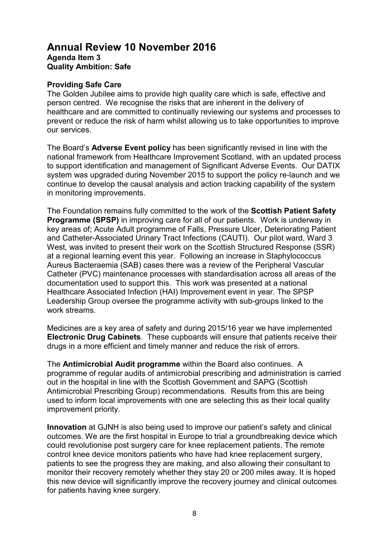#### **Providing Safe Care**

The Golden Jubilee aims to provide high quality care which is safe, effective and person centred. We recognise the risks that are inherent in the delivery of healthcare and are committed to continually reviewing our systems and processes to prevent or reduce the risk of harm whilst allowing us to take opportunities to improve our services.

The Board's **Adverse Event policy** has been significantly revised in line with the national framework from Healthcare Improvement Scotland, with an updated process to support identification and management of Significant Adverse Events. Our DATIX system was upgraded during November 2015 to support the policy re-launch and we continue to develop the causal analysis and action tracking capability of the system in monitoring improvements.

The Foundation remains fully committed to the work of the **Scottish Patient Safety Programme (SPSP)** in improving care for all of our patients. Work is underway in key areas of; Acute Adult programme of Falls, Pressure Ulcer, Deteriorating Patient and Catheter-Associated Urinary Tract Infections (CAUTI). Our pilot ward, Ward 3 West, was invited to present their work on the Scottish Structured Response (SSR) at a regional learning event this year. Following an increase in Staphylococcus Aureus Bacteraemia (SAB) cases there was a review of the Peripheral Vascular Catheter (PVC) maintenance processes with standardisation across all areas of the documentation used to support this. This work was presented at a national Healthcare Associated Infection (HAI) Improvement event in year. The SPSP Leadership Group oversee the programme activity with sub-groups linked to the work streams.

Medicines are a key area of safety and during 2015/16 year we have implemented **Electronic Drug Cabinets**. These cupboards will ensure that patients receive their drugs in a more efficient and timely manner and reduce the risk of errors.

The **Antimicrobial Audit programme** within the Board also continues. A programme of regular audits of antimicrobial prescribing and administration is carried out in the hospital in line with the Scottish Government and SAPG (Scottish Antimicrobial Prescribing Group) recommendations. Results from this are being used to inform local improvements with one are selecting this as their local quality improvement priority.

**Innovation** at GJNH is also being used to improve our patient's safety and clinical outcomes. We are the first hospital in Europe to trial a groundbreaking device which could revolutionise post surgery care for knee replacement patients. The remote control knee device monitors patients who have had knee replacement surgery, patients to see the progress they are making, and also allowing their consultant to monitor their recovery remotely whether they stay 20 or 200 miles away. It is hoped this new device will significantly improve the recovery journey and clinical outcomes for patients having knee surgery.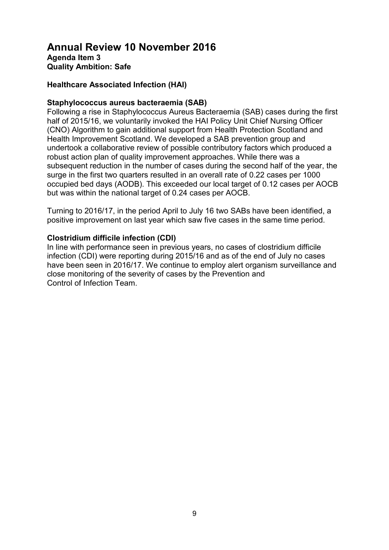#### **Healthcare Associated Infection (HAI)**

#### **Staphylococcus aureus bacteraemia (SAB)**

Following a rise in Staphylococcus Aureus Bacteraemia (SAB) cases during the first half of 2015/16, we voluntarily invoked the HAI Policy Unit Chief Nursing Officer (CNO) Algorithm to gain additional support from Health Protection Scotland and Health Improvement Scotland. We developed a SAB prevention group and undertook a collaborative review of possible contributory factors which produced a robust action plan of quality improvement approaches. While there was a subsequent reduction in the number of cases during the second half of the year, the surge in the first two quarters resulted in an overall rate of 0.22 cases per 1000 occupied bed days (AODB). This exceeded our local target of 0.12 cases per AOCB but was within the national target of 0.24 cases per AOCB.

Turning to 2016/17, in the period April to July 16 two SABs have been identified, a positive improvement on last year which saw five cases in the same time period.

#### **Clostridium difficile infection (CDI)**

In line with performance seen in previous years, no cases of clostridium difficile infection (CDI) were reporting during 2015/16 and as of the end of July no cases have been seen in 2016/17. We continue to employ alert organism surveillance and close monitoring of the severity of cases by the Prevention and Control of Infection Team.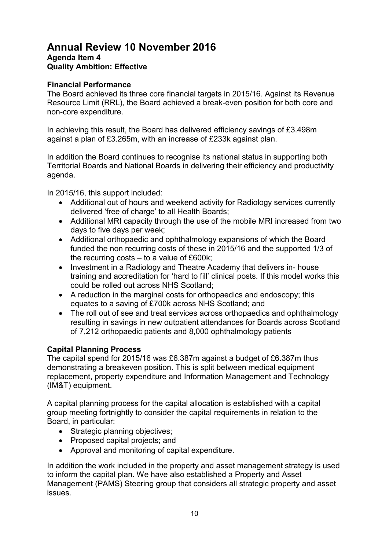#### **Financial Performance**

The Board achieved its three core financial targets in 2015/16. Against its Revenue Resource Limit (RRL), the Board achieved a break-even position for both core and non-core expenditure.

In achieving this result, the Board has delivered efficiency savings of £3.498m against a plan of £3.265m, with an increase of £233k against plan.

In addition the Board continues to recognise its national status in supporting both Territorial Boards and National Boards in delivering their efficiency and productivity agenda.

In 2015/16, this support included:

- Additional out of hours and weekend activity for Radiology services currently delivered 'free of charge' to all Health Boards;
- Additional MRI capacity through the use of the mobile MRI increased from two days to five days per week;
- Additional orthopaedic and ophthalmology expansions of which the Board funded the non recurring costs of these in 2015/16 and the supported 1/3 of the recurring costs – to a value of £600k;
- Investment in a Radiology and Theatre Academy that delivers in- house training and accreditation for 'hard to fill' clinical posts. If this model works this could be rolled out across NHS Scotland;
- A reduction in the marginal costs for orthopaedics and endoscopy; this equates to a saving of £700k across NHS Scotland; and
- The roll out of see and treat services across orthopaedics and ophthalmology resulting in savings in new outpatient attendances for Boards across Scotland of 7,212 orthopaedic patients and 8,000 ophthalmology patients

#### **Capital Planning Process**

The capital spend for 2015/16 was £6.387m against a budget of £6.387m thus demonstrating a breakeven position. This is split between medical equipment replacement, property expenditure and Information Management and Technology (IM&T) equipment.

A capital planning process for the capital allocation is established with a capital group meeting fortnightly to consider the capital requirements in relation to the Board, in particular:

- Strategic planning objectives;
- Proposed capital projects; and
- Approval and monitoring of capital expenditure.

In addition the work included in the property and asset management strategy is used to inform the capital plan. We have also established a Property and Asset Management (PAMS) Steering group that considers all strategic property and asset issues.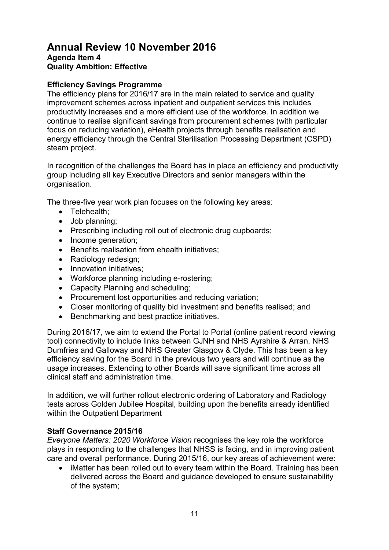### **Efficiency Savings Programme**

The efficiency plans for 2016/17 are in the main related to service and quality improvement schemes across inpatient and outpatient services this includes productivity increases and a more efficient use of the workforce. In addition we continue to realise significant savings from procurement schemes (with particular focus on reducing variation), eHealth projects through benefits realisation and energy efficiency through the Central Sterilisation Processing Department (CSPD) steam project.

In recognition of the challenges the Board has in place an efficiency and productivity group including all key Executive Directors and senior managers within the organisation.

The three-five year work plan focuses on the following key areas:

- Telehealth;
- Job planning;
- Prescribing including roll out of electronic drug cupboards;
- Income generation:
- Benefits realisation from ehealth initiatives;
- Radiology redesign;
- Innovation initiatives;
- Workforce planning including e-rostering;
- Capacity Planning and scheduling;
- Procurement lost opportunities and reducing variation;
- Closer monitoring of quality bid investment and benefits realised; and
- Benchmarking and best practice initiatives.

During 2016/17, we aim to extend the Portal to Portal (online patient record viewing tool) connectivity to include links between GJNH and NHS Ayrshire & Arran, NHS Dumfries and Galloway and NHS Greater Glasgow & Clyde. This has been a key efficiency saving for the Board in the previous two years and will continue as the usage increases. Extending to other Boards will save significant time across all clinical staff and administration time.

In addition, we will further rollout electronic ordering of Laboratory and Radiology tests across Golden Jubilee Hospital, building upon the benefits already identified within the Outpatient Department

#### **Staff Governance 2015/16**

*Everyone Matters: 2020 Workforce Vision* recognises the key role the workforce plays in responding to the challenges that NHSS is facing, and in improving patient care and overall performance. During 2015/16, our key areas of achievement were:

• iMatter has been rolled out to every team within the Board. Training has been delivered across the Board and guidance developed to ensure sustainability of the system;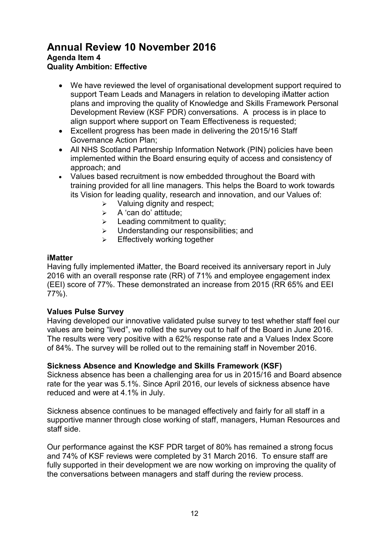- We have reviewed the level of organisational development support required to support Team Leads and Managers in relation to developing iMatter action plans and improving the quality of Knowledge and Skills Framework Personal Development Review (KSF PDR) conversations. A process is in place to align support where support on Team Effectiveness is requested;
- Excellent progress has been made in delivering the 2015/16 Staff Governance Action Plan;
- All NHS Scotland Partnership Information Network (PIN) policies have been implemented within the Board ensuring equity of access and consistency of approach; and
- Values based recruitment is now embedded throughout the Board with training provided for all line managers. This helps the Board to work towards its Vision for leading quality, research and innovation, and our Values of:
	- $\triangleright$  Valuing dignity and respect;
	- $\triangleright$  A 'can do' attitude;
	- $\geq$  Leading commitment to quality:
	- $\triangleright$  Understanding our responsibilities; and
	- $\triangleright$  Effectively working together

#### **iMatter**

Having fully implemented iMatter, the Board received its anniversary report in July 2016 with an overall response rate (RR) of 71% and employee engagement index (EEI) score of 77%. These demonstrated an increase from 2015 (RR 65% and EEI 77%).

#### **Values Pulse Survey**

Having developed our innovative validated pulse survey to test whether staff feel our values are being "lived", we rolled the survey out to half of the Board in June 2016. The results were very positive with a 62% response rate and a Values Index Score of 84%. The survey will be rolled out to the remaining staff in November 2016.

### **Sickness Absence and Knowledge and Skills Framework (KSF)**

Sickness absence has been a challenging area for us in 2015/16 and Board absence rate for the year was 5.1%. Since April 2016, our levels of sickness absence have reduced and were at 4.1% in July.

Sickness absence continues to be managed effectively and fairly for all staff in a supportive manner through close working of staff, managers, Human Resources and staff side.

Our performance against the KSF PDR target of 80% has remained a strong focus and 74% of KSF reviews were completed by 31 March 2016. To ensure staff are fully supported in their development we are now working on improving the quality of the conversations between managers and staff during the review process.